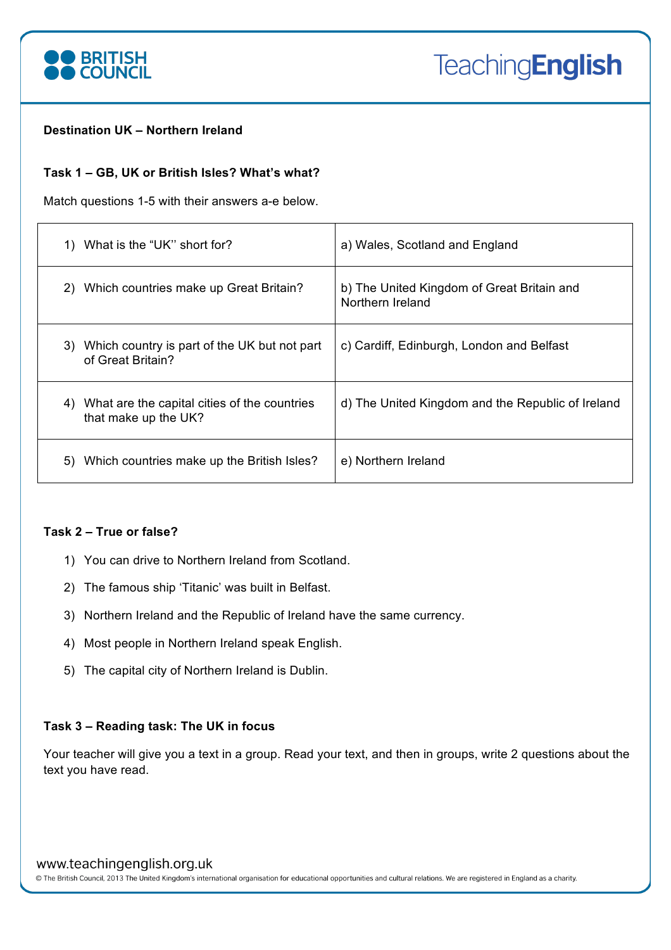

# **Destination UK – Northern Ireland**

# **Task 1 – GB, UK or British Isles? What's what?**

Match questions 1-5 with their answers a-e below.

| What is the "UK" short for?                                                | a) Wales, Scotland and England                                 |
|----------------------------------------------------------------------------|----------------------------------------------------------------|
| Which countries make up Great Britain?<br>2)                               | b) The United Kingdom of Great Britain and<br>Northern Ireland |
| Which country is part of the UK but not part<br>3)<br>of Great Britain?    | c) Cardiff, Edinburgh, London and Belfast                      |
| What are the capital cities of the countries<br>4)<br>that make up the UK? | d) The United Kingdom and the Republic of Ireland              |
| Which countries make up the British Isles?<br>5)                           | e) Northern Ireland                                            |

# **Task 2 – True or false?**

- 1) You can drive to Northern Ireland from Scotland.
- 2) The famous ship 'Titanic' was built in Belfast.
- 3) Northern Ireland and the Republic of Ireland have the same currency.
- 4) Most people in Northern Ireland speak English.
- 5) The capital city of Northern Ireland is Dublin.

# **Task 3 – Reading task: The UK in focus**

Your teacher will give you a text in a group. Read your text, and then in groups, write 2 questions about the text you have read.

# www.teachingenglish.org.uk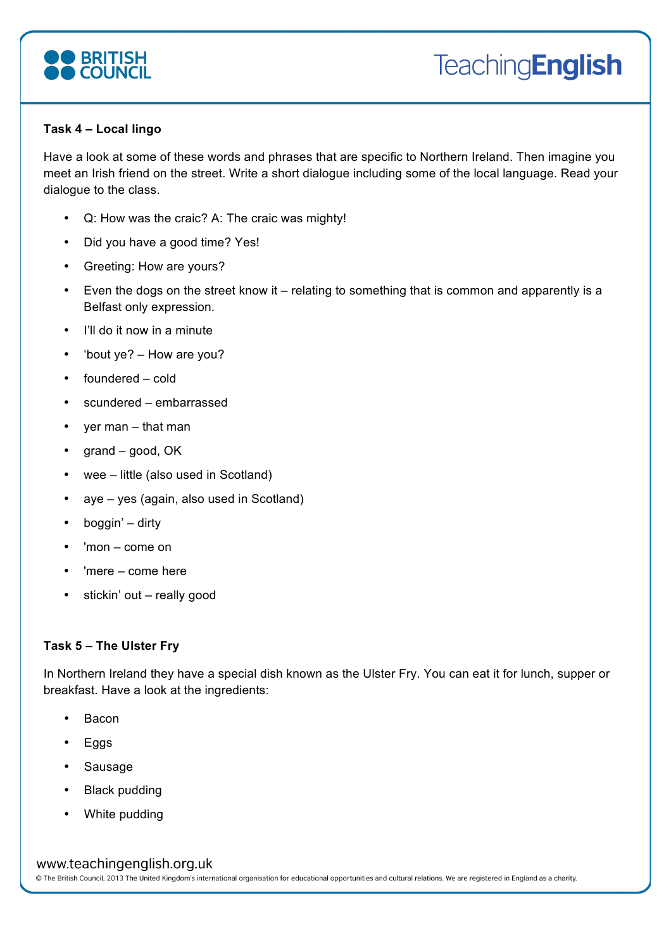

# **Task 4 – Local lingo**

Have a look at some of these words and phrases that are specific to Northern Ireland. Then imagine you meet an Irish friend on the street. Write a short dialogue including some of the local language. Read your dialogue to the class.

- Q: How was the craic? A: The craic was mighty!
- Did you have a good time? Yes!
- Greeting: How are yours?
- Even the dogs on the street know it relating to something that is common and apparently is a Belfast only expression.
- I'll do it now in a minute
- 'bout ye? How are you?
- foundered cold
- scundered embarrassed
- yer man that man
- grand good, OK
- wee little (also used in Scotland)
- aye yes (again, also used in Scotland)
- boggin' dirty
- 'mon come on
- 'mere come here
- stickin' out really good

# **Task 5 – The Ulster Fry**

In Northern Ireland they have a special dish known as the Ulster Fry. You can eat it for lunch, supper or breakfast. Have a look at the ingredients:

- Bacon
- Eggs
- Sausage
- Black pudding
- White pudding

# www.teachingenglish.org.uk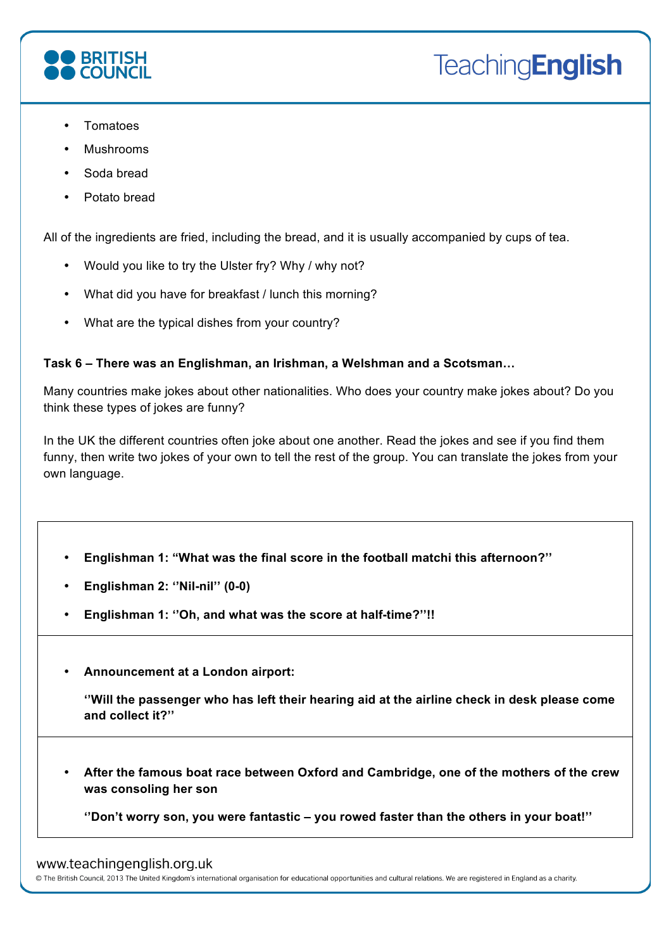

- Tomatoes
- Mushrooms
- Soda bread
- Potato bread

All of the ingredients are fried, including the bread, and it is usually accompanied by cups of tea.

- Would you like to try the Ulster fry? Why / why not?
- What did you have for breakfast / lunch this morning?
- What are the typical dishes from your country?

# **Task 6 – There was an Englishman, an Irishman, a Welshman and a Scotsman…**

Many countries make jokes about other nationalities. Who does your country make jokes about? Do you think these types of jokes are funny?

In the UK the different countries often joke about one another. Read the jokes and see if you find them funny, then write two jokes of your own to tell the rest of the group. You can translate the jokes from your own language.

- **Englishman 1: "What was the final score in the football matchi this afternoon?''**
- **Englishman 2: ''Nil-nil'' (0-0)**
- **Englishman 1: ''Oh, and what was the score at half-time?''!!**
- **Announcement at a London airport:**

**''Will the passenger who has left their hearing aid at the airline check in desk please come and collect it?''**

• **After the famous boat race between Oxford and Cambridge, one of the mothers of the crew was consoling her son**

**''Don't worry son, you were fantastic – you rowed faster than the others in your boat!''**

#### www.teachingenglish.org.uk